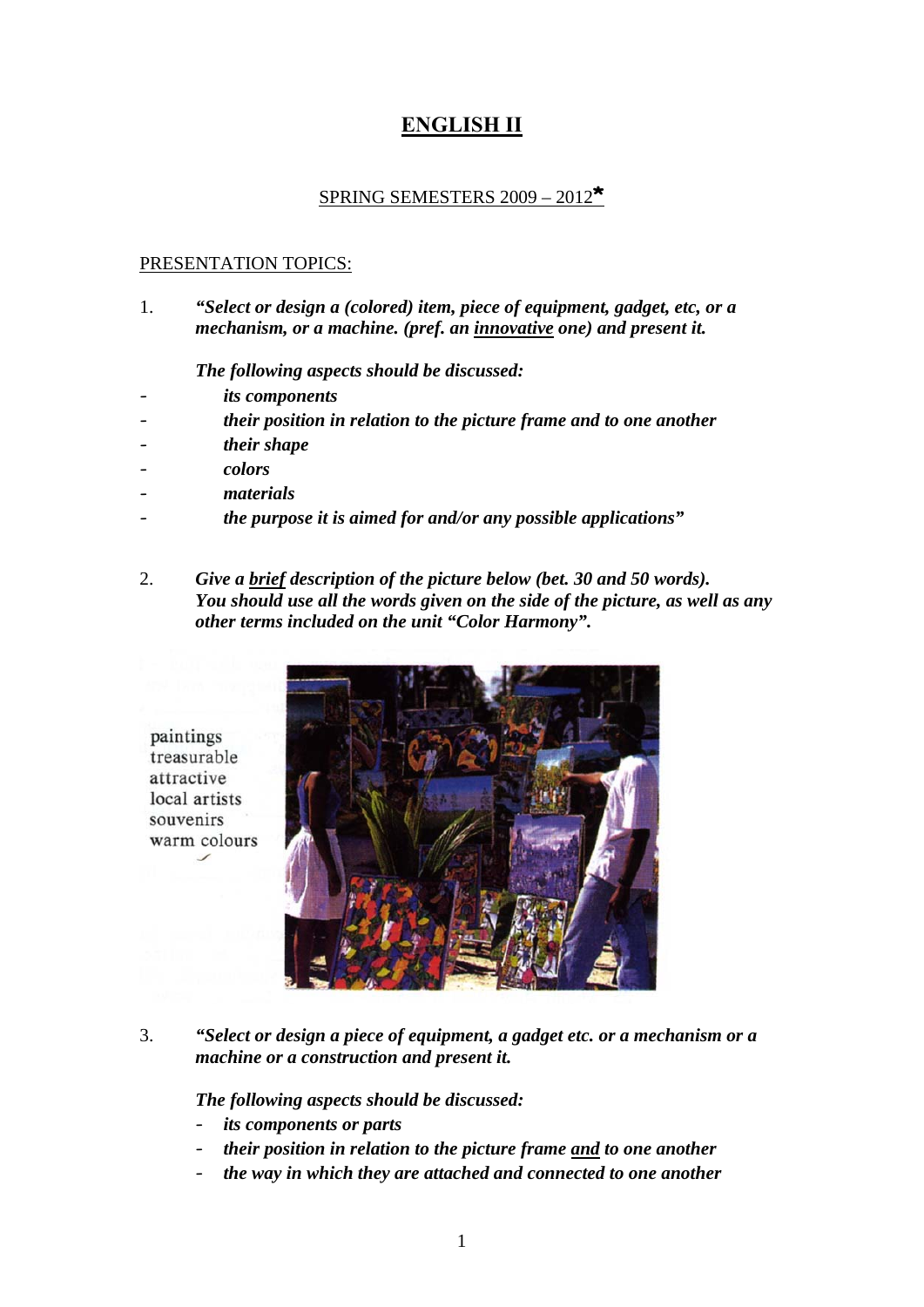## **ENGLISH IΙ**

## SPRING SEMESTERS 2009 – 2012**\***

## PRESENTATION TOPICS:

1. *"Select or design a (colored) item, piece of equipment, gadget, etc, or a mechanism, or a machine. (pref. an innovative one) and present it.* 

 *The following aspects should be discussed:* 

- *its components*
- *their position in relation to the picture frame and to one another*
- *their shape*
- *colors*

paintings treasurable attractive local artists souvenirs

- *materials*
- *the purpose it is aimed for and/or any possible applications"*
- 2. *Give a brief description of the picture below (bet. 30 and 50 words). You should use all the words given on the side of the picture, as well as any other terms included on the unit "Color Harmony".*



3. *"Select or design a piece of equipment, a gadget etc. or a mechanism or a machine or a construction and present it.* 

 *The following aspects should be discussed:* 

- *its components or parts*
- their position in relation to the picture frame and to one another
- the way in which they are attached and connected to one another